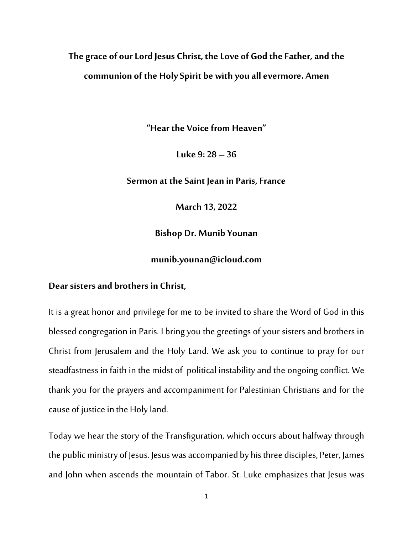## **The grace of our Lord Jesus Christ, the Love of God the Father, and the communion of the Holy Spirit be with you all evermore. Amen**

**"Hear the Voice from Heaven"**

**Luke 9: 28 – 36**

**Sermon at the Saint Jean in Paris, France**

**March 13, 2022**

**Bishop Dr. Munib Younan**

**munib.younan@icloud.com**

## **Dear sisters and brothers in Christ,**

It is a great honor and privilege for me to be invited to share the Word of God in this blessed congregation in Paris. I bringyou the greetings of your sisters and brothers in Christ from Jerusalem and the Holy Land. We ask you to continue to pray for our steadfastness in faith in the midst of political instability and the ongoing conflict. We thank you for the prayers and accompaniment for Palestinian Christians and for the cause of justice in the Holy land.

Today we hear the story of the Transfiguration, which occurs about halfway through the public ministry of Jesus. Jesuswas accompanied by his three disciples, Peter, James and John when ascends the mountain of Tabor. St. Luke emphasizes that Jesus was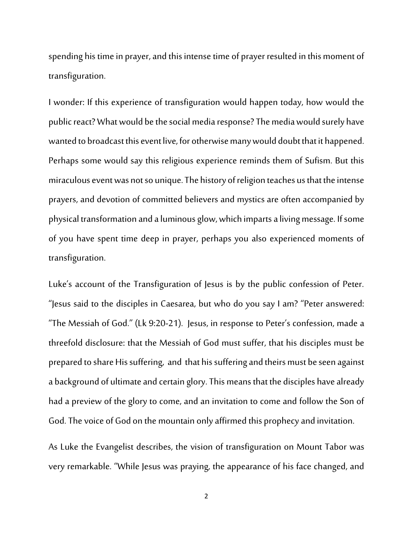spending his time in prayer, and this intense time of prayer resulted in this moment of transfiguration.

I wonder: If this experience of transfiguration would happen today, how would the public react? What would be the social media response? The media would surely have wanted to broadcast this event live, for otherwise many would doubt that it happened. Perhaps some would say this religious experience reminds them of Sufism. But this miraculous event was not so unique. The history of religion teaches us that the intense prayers, and devotion of committed believers and mystics are often accompanied by physical transformation and aluminous glow, which imparts a living message. If some of you have spent time deep in prayer, perhaps you also experienced moments of transfiguration.

Luke's account of the Transfiguration of Jesus is by the public confession of Peter. "Jesus said to the disciples in Caesarea, but who do you say I am? "Peter answered: "The Messiah of God." (Lk 9:20-21). Jesus, in response to Peter's confession, made a threefold disclosure: that the Messiah of God must suffer, that his disciples must be prepared to share His suffering, and that his suffering and theirs must be seen against a background of ultimate and certain glory.This means that the disciples have already had a preview of the glory to come, and an invitation to come and follow the Son of God. The voice of God on the mountain only affirmed this prophecy and invitation.

As Luke the Evangelist describes, the vision of transfiguration on Mount Tabor was very remarkable. "While Jesus was praying, the appearance of his face changed, and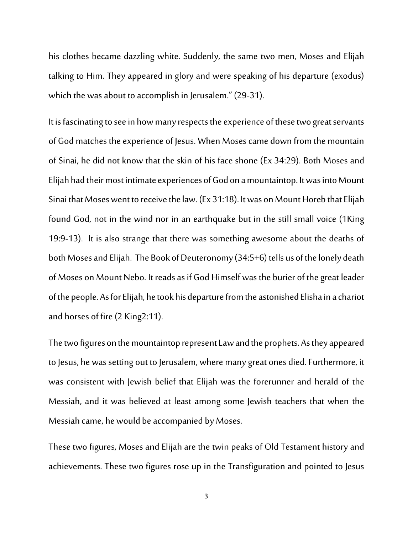his clothes became dazzling white. Suddenly, the same two men, Moses and Elijah talking to Him. They appeared in glory and were speaking of his departure (exodus) which the was about to accomplish in Jerusalem." (29-31).

It is fascinating to see in how many respects the experience of these two great servants of God matches the experience of Jesus. When Moses came down from the mountain of Sinai, he did not know that the skin of his face shone (Ex 34:29). Both Moses and Elijah had their most intimate experiences of God on a mountaintop. It was into Mount Sinai that Moses went to receive the law. (Ex 31:18). It was on Mount Horeb that Elijah found God, not in the wind nor in an earthquake but in the still small voice (1King 19:9-13). It is also strange that there was something awesome about the deaths of both Moses and Elijah. The Book of Deuteronomy (34:5+6) tells us of the lonely death of Moses on Mount Nebo. It reads as if God Himself was the burier of the great leader of the people. As for Elijah, he took his departure from the astonished Elisha in a chariot and horses of fire (2 King2:11).

The two figures on the mountaintop represent Lawand the prophets. As they appeared to Jesus, he was setting out to Jerusalem, where many great ones died. Furthermore, it was consistent with Jewish belief that Elijah was the forerunner and herald of the Messiah, and it was believed at least among some Jewish teachers that when the Messiah came, he would be accompanied by Moses.

These two figures, Moses and Elijah are the twin peaks of Old Testament history and achievements. These two figures rose up in the Transfiguration and pointed to Jesus

3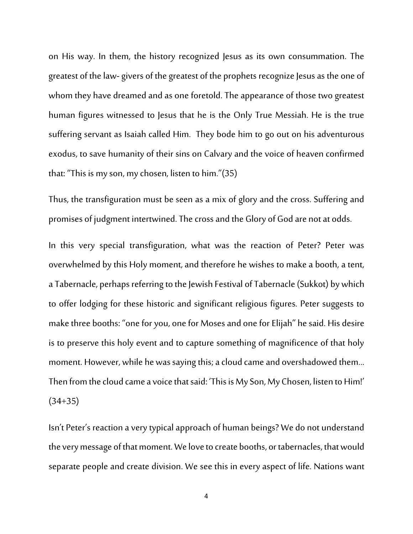on His way. In them, the history recognized Jesus as its own consummation. The greatest of the law-givers of the greatest of the prophets recognize Jesus as the one of whom they have dreamed and as one foretold. The appearance of those two greatest human figures witnessed to Jesus that he is the Only True Messiah. He is the true suffering servant as Isaiah called Him. They bode him to go out on his adventurous exodus, to save humanity of their sins on Calvary and the voice of heaven confirmed that: "This is my son, my chosen, listen to him."(35)

Thus, the transfiguration must be seen as a mix of glory and the cross. Suffering and promises of judgment intertwined.The cross and the Glory of God are not at odds.

In this very special transfiguration, what was the reaction of Peter? Peter was overwhelmed by this Holy moment, and therefore he wishes to make a booth, a tent, a Tabernacle, perhaps referring to the Jewish Festival of Tabernacle (Sukkot) by which to offer lodging for these historic and significant religious figures. Peter suggests to make three booths: "one for you, one for Moses and one for Elijah" he said. His desire is to preserve this holy event and to capture something of magnificence of that holy moment. However, while he was saying this; a cloud came and overshadowed them... Then from the cloud came a voice that said: 'This is My Son, My Chosen, listen to Him!' (34+35)

Isn't Peter's reaction averytypical approach of human beings?We do not understand the very message of that moment. We love to create booths, or tabernacles, that would separate people and create division. We see this in every aspect of life. Nations want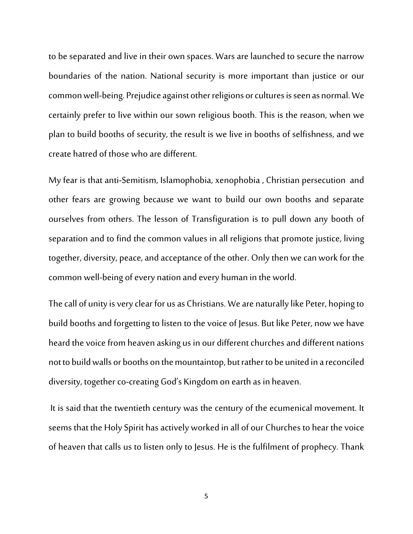to be separated and live in their own spaces. Wars are launched to secure the narrow boundaries of the nation. National security is more important than justice or our common well-being. Prejudice against other religions or cultures is seen as normal. We certainly prefer to live within our sown religious booth. This is the reason, when we plan to build booths of security, the result is we live in booths of selfishness, and we create hatred of those who are different.

My fear is that anti-Semitism, Islamophobia, xenophobia , Christian persecution and other fears are growing because we want to build our own booths and separate ourselves from others. The lesson of Transfiguration is to pull down any booth of separation and to find the common values in all religions that promote justice, living together, diversity, peace, and acceptance of the other. Only then we can work for the common well-being of every nation and every human in the world.

The call of unity isvery clear for us as Christians. We are naturally like Peter, hoping to build booths and forgetting to listen to the voice of Jesus. But like Peter, now we have heard the voice from heaven asking us in our different churches and different nations not to build walls or booths on the mountaintop, but rather to be united in a reconciled diversity, together co-creating God's Kingdom on earth as in heaven.

It is said that the twentieth century was the century of the ecumenical movement. It seems that the Holy Spirit has actively worked in all of our Churches to hear the voice of heaven that calls us to listen only to Jesus. He is the fulfilment of prophecy.Thank

5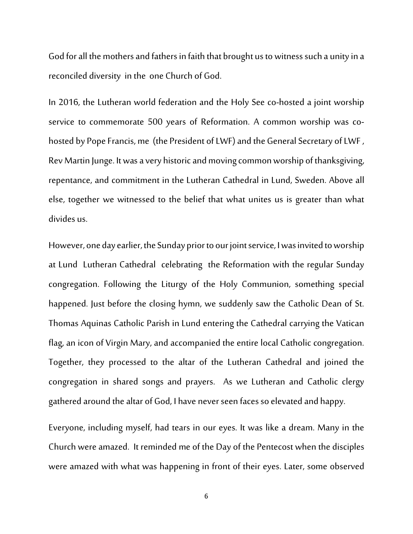God for all the mothers and fathers in faith that brought us to witness such a unity in a reconciled diversity in the one Church of God.

In 2016, the Lutheran world federation and the Holy See co-hosted a joint worship service to commemorate 500 years of Reformation. A common worship was cohosted by Pope Francis, me (the President of LWF) and the General Secretary of LWF, Rev Martin Junge. It was a very historic and moving common worship of thanksgiving, repentance, and commitment in the Lutheran Cathedral in Lund, Sweden. Above all else, together we witnessed to the belief that what unites us is greater than what divides us.

However, one day earlier, the Sunday prior to our joint service, I was invited to worship at Lund Lutheran Cathedral celebrating the Reformation with the regular Sunday congregation. Following the Liturgy of the Holy Communion, something special happened. Just before the closing hymn, we suddenly saw the Catholic Dean of St. Thomas Aquinas Catholic Parish in Lund entering the Cathedral carrying the Vatican flag, an icon of Virgin Mary, and accompanied the entire local Catholic congregation. Together, they processed to the altar of the Lutheran Cathedral and joined the congregation in shared songs and prayers. As we Lutheran and Catholic clergy gathered around the altar of God, I have never seen faces so elevated and happy.

Everyone, including myself, had tears in our eyes. It was like a dream. Many in the Church were amazed. It reminded me of the Day of the Pentecost when the disciples were amazed with what was happening in front of their eyes. Later, some observed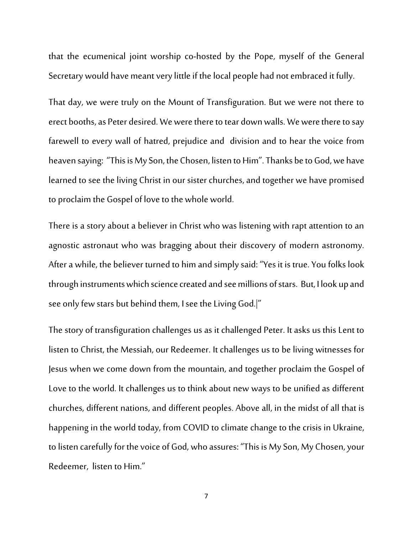that the ecumenical joint worship co-hosted by the Pope, myself of the General Secretary would have meant very little if the local people had not embraced it fully.

That day, we were truly on the Mount of Transfiguration. But we were not there to erect booths, as Peter desired. We were there to tear down walls. We were there to say farewell to every wall of hatred, prejudice and division and to hear the voice from heaven saying: "This is My Son, the Chosen, listen to Him". Thanks be to God, we have learned to see the living Christ in our sister churches, and together we have promised to proclaim the Gospel of love to the whole world.

There is a story about a believer in Christ who was listening with rapt attention to an agnostic astronaut who was bragging about their discovery of modern astronomy. After a while, the believer turned to him and simply said: "Yes it is true. You folks look through instruments which science created and see millions of stars. But, I look up and see only few stars but behind them, I see the Living God.|"

The story of transfiguration challenges us as it challenged Peter. It asks us this Lent to listen to Christ, the Messiah, our Redeemer. It challenges us to be living witnesses for Jesus when we come down from the mountain, and together proclaim the Gospel of Love to the world. It challenges us to think about new ways to be unified as different churches, different nations, and different peoples. Above all, in the midst of all that is happening in the world today, from COVID to climate change to the crisis in Ukraine, to listen carefully for the voice of God, who assures: "This is My Son, My Chosen, your Redeemer, listen to Him."

7